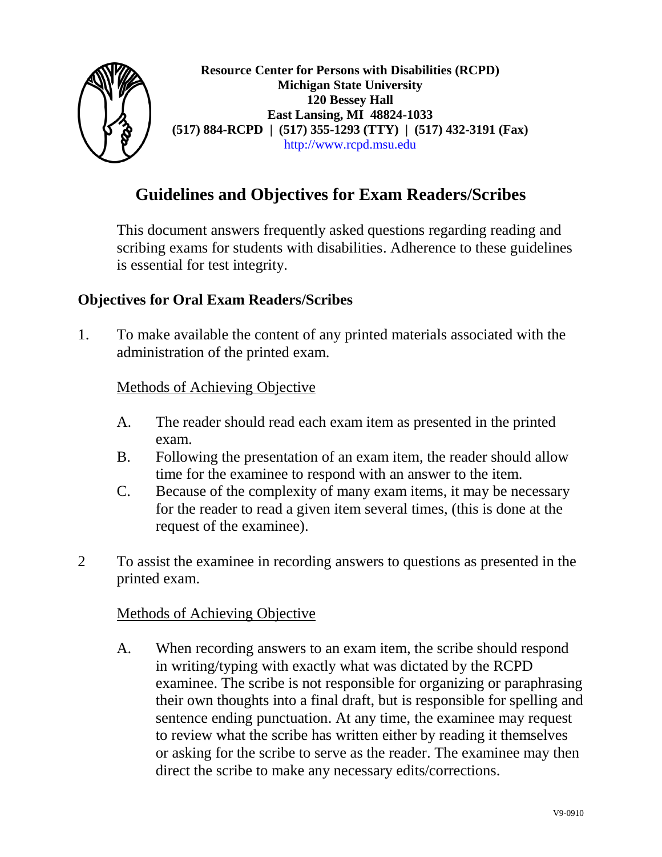

**Resource Center for Persons with Disabilities (RCPD) Michigan State University 120 Bessey Hall East Lansing, MI 48824-1033 (517) 884-RCPD | (517) 355-1293 (TTY) | (517) 432-3191 (Fax)** [http://www.rcpd.msu.edu](http://www.rcpd.msu.edu/)

# **Guidelines and Objectives for Exam Readers/Scribes**

This document answers frequently asked questions regarding reading and scribing exams for students with disabilities. Adherence to these guidelines is essential for test integrity.

## **Objectives for Oral Exam Readers/Scribes**

1. To make available the content of any printed materials associated with the administration of the printed exam.

## Methods of Achieving Objective

- A. The reader should read each exam item as presented in the printed exam.
- B. Following the presentation of an exam item, the reader should allow time for the examinee to respond with an answer to the item.
- C. Because of the complexity of many exam items, it may be necessary for the reader to read a given item several times, (this is done at the request of the examinee).
- 2 To assist the examinee in recording answers to questions as presented in the printed exam.

#### Methods of Achieving Objective

A. When recording answers to an exam item, the scribe should respond in writing/typing with exactly what was dictated by the RCPD examinee. The scribe is not responsible for organizing or paraphrasing their own thoughts into a final draft, but is responsible for spelling and sentence ending punctuation. At any time, the examinee may request to review what the scribe has written either by reading it themselves or asking for the scribe to serve as the reader. The examinee may then direct the scribe to make any necessary edits/corrections.